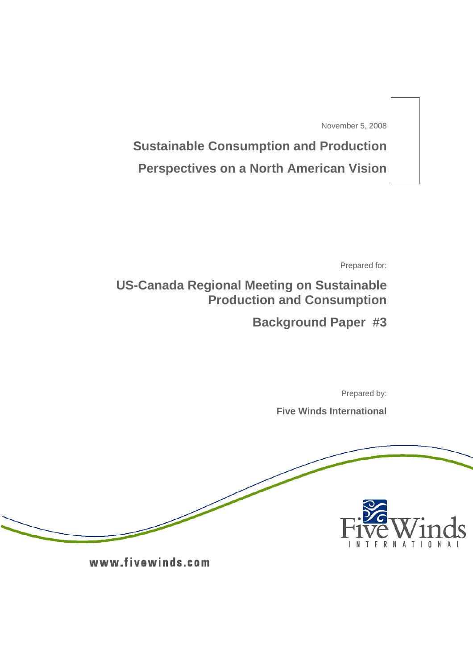November 5, 2008

**Sustainable Consumption and Production Perspectives on a North American Vision**

Prepared for:

**US-Canada Regional Meeting on Sustainable Production and Consumption** 

**Background Paper #3** 

Prepared by:

**Five Winds International**



www.fivewinds.com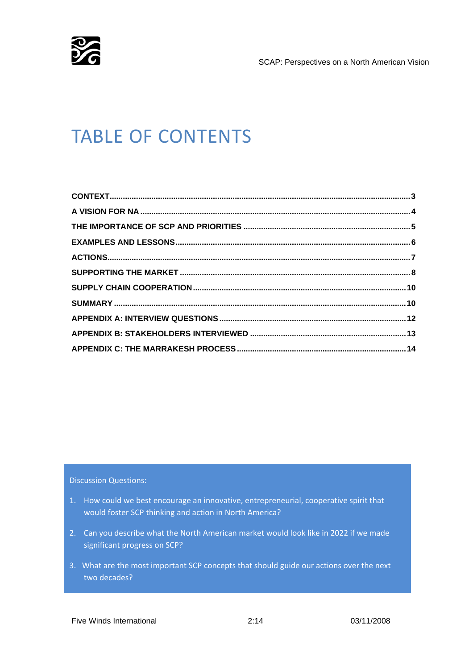

SCAP: Perspectives on a North American Vision

# TABLE OF CONTENTS

Discussion Questions:

- 1. How could we best encourage an innovative, entrepreneurial, cooperative spirit that would foster SCP thinking and action in North America?
- 2. Can you describe what the North American market would look like in 2022 if we made significant progress on SCP?
- 3. What are the most important SCP concepts that should guide our actions over the next two decades?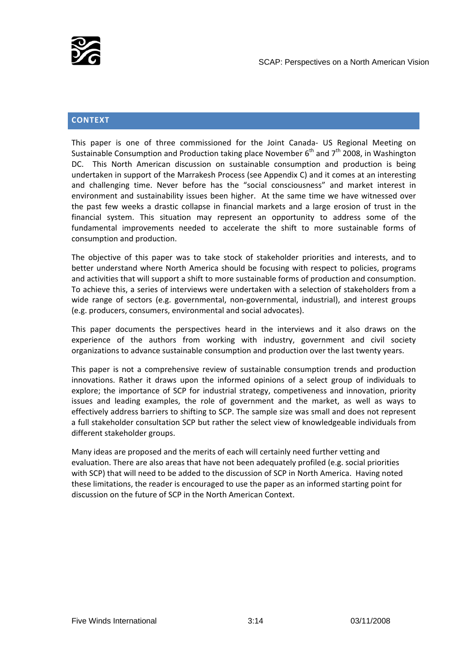<span id="page-2-0"></span>

# **CONTEXT**

This paper is one of three commissioned for the Joint Canada‐ US Regional Meeting on Sustainable Consumption and Production taking place November  $6<sup>th</sup>$  and  $7<sup>th</sup>$  2008, in Washington DC. This North American discussion on sustainable consumption and production is being undertaken in support of the Marrakesh Process (see Appendix C) and it comes at an interesting and challenging time. Never before has the "social consciousness" and market interest in environment and sustainability issues been higher. At the same time we have witnessed over the past few weeks a drastic collapse in financial markets and a large erosion of trust in the financial system. This situation may represent an opportunity to address some of the fundamental improvements needed to accelerate the shift to more sustainable forms of consumption and production.

The objective of this paper was to take stock of stakeholder priorities and interests, and to better understand where North America should be focusing with respect to policies, programs and activities that will support a shift to more sustainable forms of production and consumption. To achieve this, a series of interviews were undertaken with a selection of stakeholders from a wide range of sectors (e.g. governmental, non-governmental, industrial), and interest groups (e.g. producers, consumers, environmental and social advocates).

This paper documents the perspectives heard in the interviews and it also draws on the experience of the authors from working with industry, government and civil society organizations to advance sustainable consumption and production over the last twenty years.

This paper is not a comprehensive review of sustainable consumption trends and production innovations. Rather it draws upon the informed opinions of a select group of individuals to explore; the importance of SCP for industrial strategy, competiveness and innovation, priority issues and leading examples, the role of government and the market, as well as ways to effectively address barriers to shifting to SCP. The sample size was small and does not represent a full stakeholder consultation SCP but rather the select view of knowledgeable individuals from different stakeholder groups.

Many ideas are proposed and the merits of each will certainly need further vetting and evaluation. There are also areas that have not been adequately profiled (e.g. social priorities with SCP) that will need to be added to the discussion of SCP in North America. Having noted these limitations, the reader is encouraged to use the paper as an informed starting point for discussion on the future of SCP in the North American Context.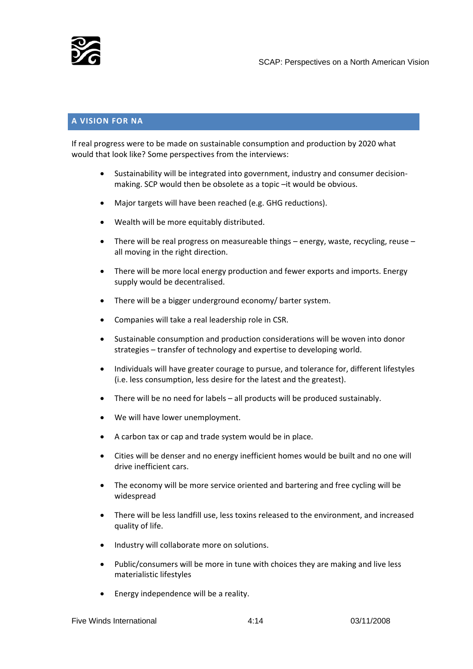<span id="page-3-0"></span>

# **A VISION FOR NA**

If real progress were to be made on sustainable consumption and production by 2020 what would that look like? Some perspectives from the interviews:

- Sustainability will be integrated into government, industry and consumer decision‐ making. SCP would then be obsolete as a topic –it would be obvious.
- Major targets will have been reached (e.g. GHG reductions).
- Wealth will be more equitably distributed.
- There will be real progress on measureable things energy, waste, recycling, reuse all moving in the right direction.
- There will be more local energy production and fewer exports and imports. Energy supply would be decentralised.
- There will be a bigger underground economy/ barter system.
- Companies will take a real leadership role in CSR.
- Sustainable consumption and production considerations will be woven into donor strategies – transfer of technology and expertise to developing world.
- Individuals will have greater courage to pursue, and tolerance for, different lifestyles (i.e. less consumption, less desire for the latest and the greatest).
- There will be no need for labels all products will be produced sustainably.
- We will have lower unemployment.
- A carbon tax or cap and trade system would be in place.
- Cities will be denser and no energy inefficient homes would be built and no one will drive inefficient cars.
- The economy will be more service oriented and bartering and free cycling will be widespread
- There will be less landfill use, less toxins released to the environment, and increased quality of life.
- Industry will collaborate more on solutions.
- Public/consumers will be more in tune with choices they are making and live less materialistic lifestyles
- Energy independence will be a reality.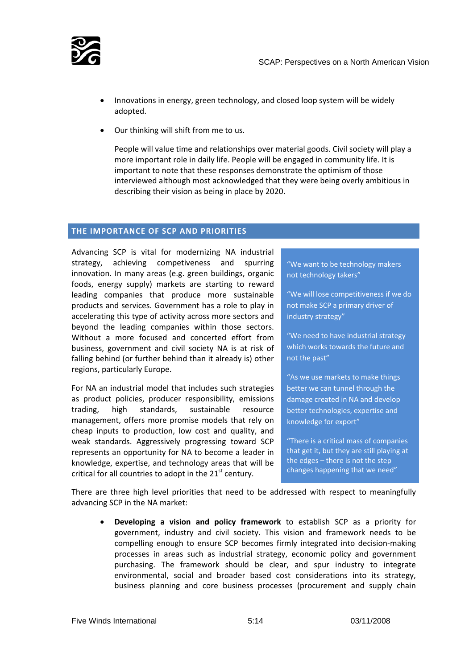<span id="page-4-0"></span>

- Innovations in energy, green technology, and closed loop system will be widely adopted.
- Our thinking will shift from me to us.

People will value time and relationships over material goods. Civil society will play a more important role in daily life. People will be engaged in community life. It is important to note that these responses demonstrate the optimism of those interviewed although most acknowledged that they were being overly ambitious in describing their vision as being in place by 2020.

## **THE IMPORTANCE OF SCP AND PRIORITIES**

Advancing SCP is vital for modernizing NA industrial strategy, achieving competiveness and spurring innovation. In many areas (e.g. green buildings, organic foods, energy supply) markets are starting to reward leading companies that produce more sustainable products and services. Government has a role to play in accelerating this type of activity across more sectors and beyond the leading companies within those sectors. Without a more focused and concerted effort from business, government and civil society NA is at risk of falling behind (or further behind than it already is) other regions, particularly Europe.

For NA an industrial model that includes such strategies as product policies, producer responsibility, emissions trading, high standards, sustainable resource management, offers more promise models that rely on cheap inputs to production, low cost and quality, and weak standards. Aggressively progressing toward SCP represents an opportunity for NA to become a leader in knowledge, expertise, and technology areas that will be critical for all countries to adopt in the  $21<sup>st</sup>$  century.

"We want to be technology makers not technology takers"

"We will lose competitiveness if we do not make SCP a primary driver of industry strategy"

"We need to have industrial strategy which works towards the future and not the past"

"As we use markets to make things better we can tunnel through the damage created in NA and develop better technologies, expertise and knowledge for export"

"There is a critical mass of companies that get it, but they are still playing at the edges – there is not the step changes happening that we need"

There are three high level priorities that need to be addressed with respect to meaningfully advancing SCP in the NA market:

• **Developing a vision and policy framework** to establish SCP as a priority for government, industry and civil society. This vision and framework needs to be compelling enough to ensure SCP becomes firmly integrated into decision‐making processes in areas such as industrial strategy, economic policy and government purchasing. The framework should be clear, and spur industry to integrate environmental, social and broader based cost considerations into its strategy, business planning and core business processes (procurement and supply chain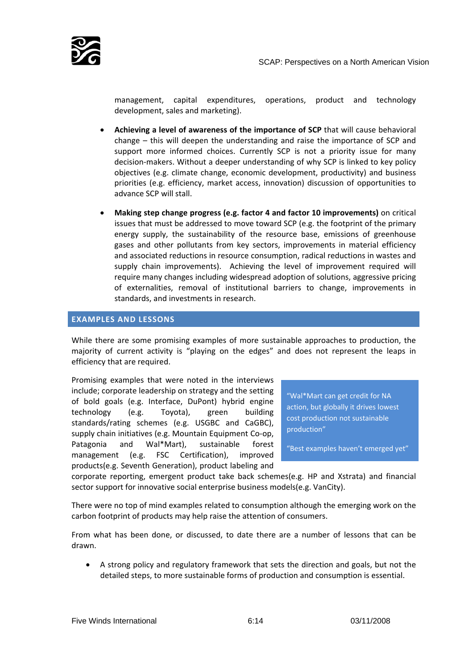

<span id="page-5-0"></span>

management, capital expenditures, operations, product and technology development, sales and marketing).

- **Achieving a level of awareness of the importance of SCP** that will cause behavioral change – this will deepen the understanding and raise the importance of SCP and support more informed choices. Currently SCP is not a priority issue for many decision‐makers. Without a deeper understanding of why SCP is linked to key policy objectives (e.g. climate change, economic development, productivity) and business priorities (e.g. efficiency, market access, innovation) discussion of opportunities to advance SCP will stall.
- **Making step change progress (e.g. factor 4 and factor 10 improvements)** on critical issues that must be addressed to move toward SCP (e.g. the footprint of the primary energy supply, the sustainability of the resource base, emissions of greenhouse gases and other pollutants from key sectors, improvements in material efficiency and associated reductions in resource consumption, radical reductions in wastes and supply chain improvements). Achieving the level of improvement required will require many changes including widespread adoption of solutions, aggressive pricing of externalities, removal of institutional barriers to change, improvements in standards, and investments in research.

#### **EXAMPLES AND LESSONS**

While there are some promising examples of more sustainable approaches to production, the majority of current activity is "playing on the edges" and does not represent the leaps in efficiency that are required.

Promising examples that were noted in the interviews include; corporate leadership on strategy and the setting of bold goals (e.g. Interface, DuPont) hybrid engine technology (e.g. Toyota), green building standards/rating schemes (e.g. USGBC and CaGBC), supply chain initiatives (e.g. Mountain Equipment Co‐op, Patagonia and Wal\*Mart), sustainable forest management (e.g. FSC Certification), improved products(e.g. Seventh Generation), product labeling and

"Wal\*Mart can get credit for NA action, but globally it drives lowest cost production not sustainable production"

"Best examples haven't emerged yet"

corporate reporting, emergent product take back schemes(e.g. HP and Xstrata) and financial sector support for innovative social enterprise business models(e.g. VanCity).

There were no top of mind examples related to consumption although the emerging work on the carbon footprint of products may help raise the attention of consumers.

From what has been done, or discussed, to date there are a number of lessons that can be drawn.

• A strong policy and regulatory framework that sets the direction and goals, but not the detailed steps, to more sustainable forms of production and consumption is essential.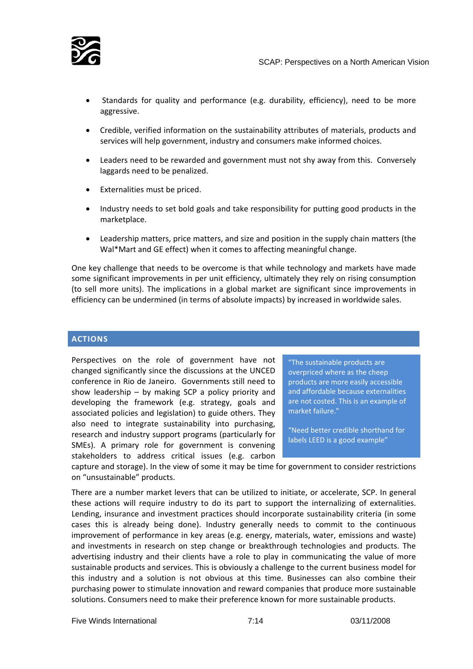<span id="page-6-0"></span>

- Standards for quality and performance (e.g. durability, efficiency), need to be more aggressive.
- Credible, verified information on the sustainability attributes of materials, products and services will help government, industry and consumers make informed choices.
- Leaders need to be rewarded and government must not shy away from this. Conversely laggards need to be penalized.
- Externalities must be priced.
- Industry needs to set bold goals and take responsibility for putting good products in the marketplace.
- Leadership matters, price matters, and size and position in the supply chain matters (the Wal\*Mart and GE effect) when it comes to affecting meaningful change.

One key challenge that needs to be overcome is that while technology and markets have made some significant improvements in per unit efficiency, ultimately they rely on rising consumption (to sell more units). The implications in a global market are significant since improvements in efficiency can be undermined (in terms of absolute impacts) by increased in worldwide sales.

# **ACTIONS**

Perspectives on the role of government have not changed significantly since the discussions at the UNCED conference in Rio de Janeiro. Governments still need to show leadership – by making SCP a policy priority and developing the framework (e.g. strategy, goals and associated policies and legislation) to guide others. They also need to integrate sustainability into purchasing, research and industry support programs (particularly for SMEs). A primary role for government is convening stakeholders to address critical issues (e.g. carbon

"The sustainable products are overpriced where as the cheep products are more easily accessible and affordable because externalities are not costed. This is an example of market failure."

"Need better credible shorthand for labels LEED is a good example"

capture and storage). In the view of some it may be time for government to consider restrictions on "unsustainable" products.

There are a number market levers that can be utilized to initiate, or accelerate, SCP. In general these actions will require industry to do its part to support the internalizing of externalities. Lending, insurance and investment practices should incorporate sustainability criteria (in some cases this is already being done). Industry generally needs to commit to the continuous improvement of performance in key areas (e.g. energy, materials, water, emissions and waste) and investments in research on step change or breakthrough technologies and products. The advertising industry and their clients have a role to play in communicating the value of more sustainable products and services. This is obviously a challenge to the current business model for this industry and a solution is not obvious at this time. Businesses can also combine their purchasing power to stimulate innovation and reward companies that produce more sustainable solutions. Consumers need to make their preference known for more sustainable products.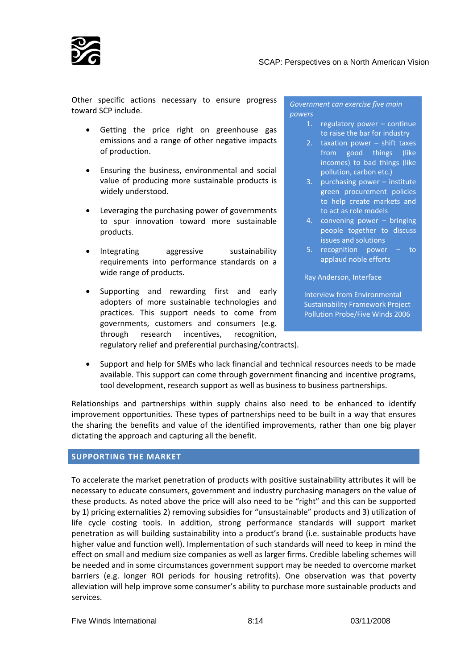<span id="page-7-0"></span>

Other specific actions necessary to ensure progress toward SCP include.

- Getting the price right on greenhouse gas emissions and a range of other negative impacts of production.
- Ensuring the business, environmental and social value of producing more sustainable products is widely understood.
- Leveraging the purchasing power of governments to spur innovation toward more sustainable products.
- Integrating aggressive sustainability requirements into performance standards on a wide range of products.
- Supporting and rewarding first and early adopters of more sustainable technologies and practices. This support needs to come from governments, customers and consumers (e.g. through research incentives, recognition,

*Government can exercise five main powers*

- 1. regulatory power continue to raise the bar for industry
- 2. taxation power shift taxes from good things (like incomes) to bad things (like pollution, carbon etc.)
- 3. purchasing power institute green procurement policies to help create markets and to act as role models
- 4. convening power bringing people together to discuss issues and solutions
- 5. recognition power to applaud noble efforts

Ray Anderson, Interface

Interview from Environmental Sustainability Framework Project Pollution Probe/Five Winds 2006

regulatory relief and preferential purchasing/contracts).

• Support and help for SMEs who lack financial and technical resources needs to be made available. This support can come through government financing and incentive programs, tool development, research support as well as business to business partnerships.

Relationships and partnerships within supply chains also need to be enhanced to identify improvement opportunities. These types of partnerships need to be built in a way that ensures the sharing the benefits and value of the identified improvements, rather than one big player dictating the approach and capturing all the benefit.

#### **SUPPORTING THE MARKET**

To accelerate the market penetration of products with positive sustainability attributes it will be necessary to educate consumers, government and industry purchasing managers on the value of these products. As noted above the price will also need to be "right" and this can be supported by 1) pricing externalities 2) removing subsidies for "unsustainable" products and 3) utilization of life cycle costing tools. In addition, strong performance standards will support market penetration as will building sustainability into a product's brand (i.e. sustainable products have higher value and function well). Implementation of such standards will need to keep in mind the effect on small and medium size companies as well as larger firms. Credible labeling schemes will be needed and in some circumstances government support may be needed to overcome market barriers (e.g. longer ROI periods for housing retrofits). One observation was that poverty alleviation will help improve some consumer's ability to purchase more sustainable products and services.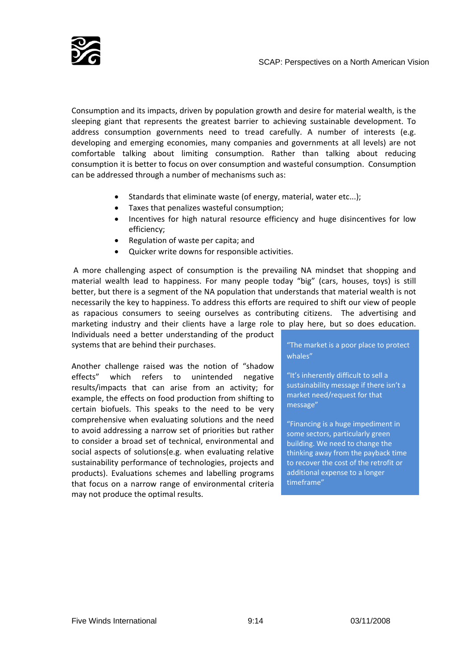

Consumption and its impacts, driven by population growth and desire for material wealth, is the sleeping giant that represents the greatest barrier to achieving sustainable development. To address consumption governments need to tread carefully. A number of interests (e.g. developing and emerging economies, many companies and governments at all levels) are not comfortable talking about limiting consumption. Rather than talking about reducing consumption it is better to focus on over consumption and wasteful consumption. Consumption can be addressed through a number of mechanisms such as:

- Standards that eliminate waste (of energy, material, water etc...);
- Taxes that penalizes wasteful consumption;
- Incentives for high natural resource efficiency and huge disincentives for low efficiency;
- Regulation of waste per capita; and
- Quicker write downs for responsible activities.

A more challenging aspect of consumption is the prevailing NA mindset that shopping and material wealth lead to happiness. For many people today "big" (cars, houses, toys) is still better, but there is a segment of the NA population that understands that material wealth is not necessarily the key to happiness. To address this efforts are required to shift our view of people as rapacious consumers to seeing ourselves as contributing citizens. The advertising and marketing industry and their clients have a large role to play here, but so does education.

Individuals need a better understanding of the product systems that are behind their purchases. The market is a poor place to protect

Another challenge raised was the notion of "shadow effects" which refers to unintended negative results/impacts that can arise from an activity; for example, the effects on food production from shifting to certain biofuels. This speaks to the need to be very comprehensive when evaluating solutions and the need to avoid addressing a narrow set of priorities but rather to consider a broad set of technical, environmental and social aspects of solutions(e.g. when evaluating relative sustainability performance of technologies, projects and products). Evaluations schemes and labelling programs that focus on a narrow range of environmental criteria may not produce the optimal results.

whales"

"It's inherently difficult to sell a sustainability message if there isn't a market need/request for that message"

"Financing is a huge impediment in some sectors, particularly green building. We need to change the thinking away from the payback time to recover the cost of the retrofit or additional expense to a longer timeframe"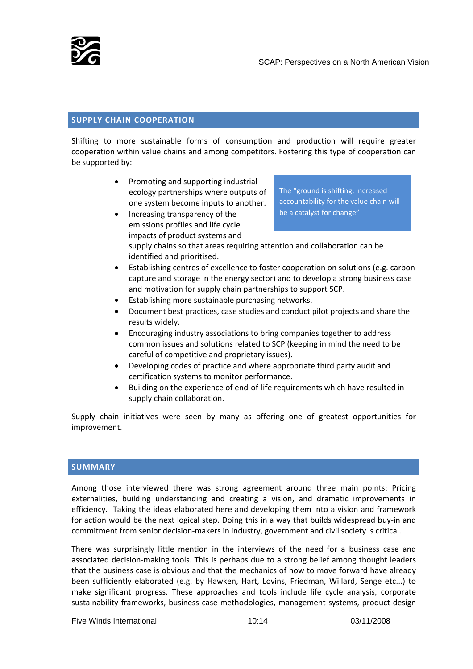<span id="page-9-0"></span>

The "ground is shifting; increased accountability for the value chain will

## **SUPPLY CHAIN COOPERATION**

Shifting to more sustainable forms of consumption and production will require greater cooperation within value chains and among competitors. Fostering this type of cooperation can be supported by:

- Promoting and supporting industrial ecology partnerships where outputs of one system become inputs to another.
- Increasing transparency of the emissions profiles and life cycle impacts of product systems and supply chains so that areas requiring attention and collaboration can be identified and prioritised. be a catalyst for change"
	- Establishing centres of excellence to foster cooperation on solutions (e.g. carbon capture and storage in the energy sector) and to develop a strong business case and motivation for supply chain partnerships to support SCP.
	- Establishing more sustainable purchasing networks.
	- Document best practices, case studies and conduct pilot projects and share the results widely.
	- Encouraging industry associations to bring companies together to address common issues and solutions related to SCP (keeping in mind the need to be careful of competitive and proprietary issues).
	- Developing codes of practice and where appropriate third party audit and certification systems to monitor performance.
	- Building on the experience of end‐of‐life requirements which have resulted in supply chain collaboration.

Supply chain initiatives were seen by many as offering one of greatest opportunities for improvement.

# **SUMMARY**

Among those interviewed there was strong agreement around three main points: Pricing externalities, building understanding and creating a vision, and dramatic improvements in efficiency. Taking the ideas elaborated here and developing them into a vision and framework for action would be the next logical step. Doing this in a way that builds widespread buy‐in and commitment from senior decision‐makers in industry, government and civil society is critical.

There was surprisingly little mention in the interviews of the need for a business case and associated decision-making tools. This is perhaps due to a strong belief among thought leaders that the business case is obvious and that the mechanics of how to move forward have already been sufficiently elaborated (e.g. by Hawken, Hart, Lovins, Friedman, Willard, Senge etc...) to make significant progress. These approaches and tools include life cycle analysis, corporate sustainability frameworks, business case methodologies, management systems, product design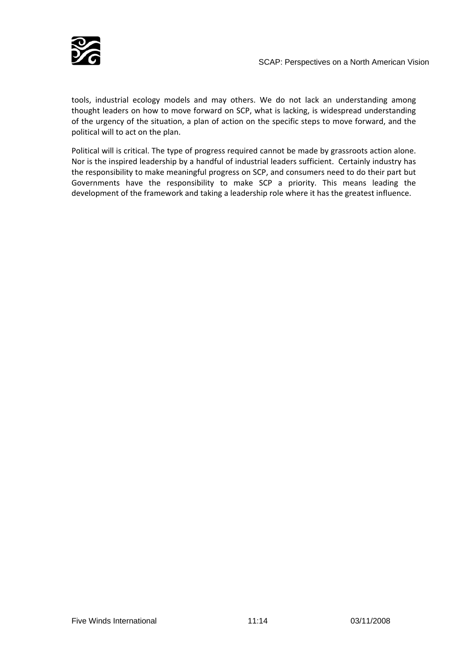

tools, industrial ecology models and may others. We do not lack an understanding among thought leaders on how to move forward on SCP, what is lacking, is widespread understanding of the urgency of the situation, a plan of action on the specific steps to move forward, and the political will to act on the plan.

Political will is critical. The type of progress required cannot be made by grassroots action alone. Nor is the inspired leadership by a handful of industrial leaders sufficient. Certainly industry has the responsibility to make meaningful progress on SCP, and consumers need to do their part but Governments have the responsibility to make SCP a priority. This means leading the development of the framework and taking a leadership role where it has the greatest influence.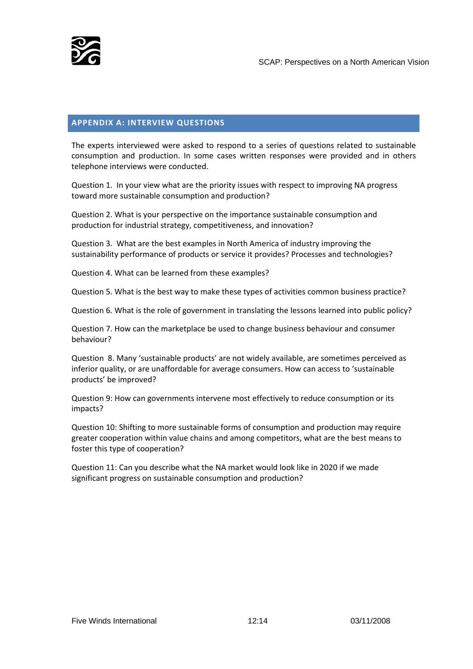<span id="page-11-0"></span>

### **APPENDIX A: INTERVIEW QUESTIONS**

The experts interviewed were asked to respond to a series of questions related to sustainable consumption and production. In some cases written responses were provided and in others telephone interviews were conducted.

Question 1. In your view what are the priority issues with respect to improving NA progress toward more sustainable consumption and production?

Question 2. What is your perspective on the importance sustainable consumption and production for industrial strategy, competitiveness, and innovation?

Question 3. What are the best examples in North America of industry improving the sustainability performance of products or service it provides? Processes and technologies?

Question 4. What can be learned from these examples?

Question 5. What is the best way to make these types of activities common business practice?

Question 6. What is the role of government in translating the lessons learned into public policy?

Question 7. How can the marketplace be used to change business behaviour and consumer behaviour?

Question 8. Many 'sustainable products' are not widely available, are sometimes perceived as inferior quality, or are unaffordable for average consumers. How can access to 'sustainable products' be improved?

Question 9: How can governments intervene most effectively to reduce consumption or its impacts?

Question 10: Shifting to more sustainable forms of consumption and production may require greater cooperation within value chains and among competitors, what are the best means to foster this type of cooperation?

Question 11: Can you describe what the NA market would look like in 2020 if we made significant progress on sustainable consumption and production?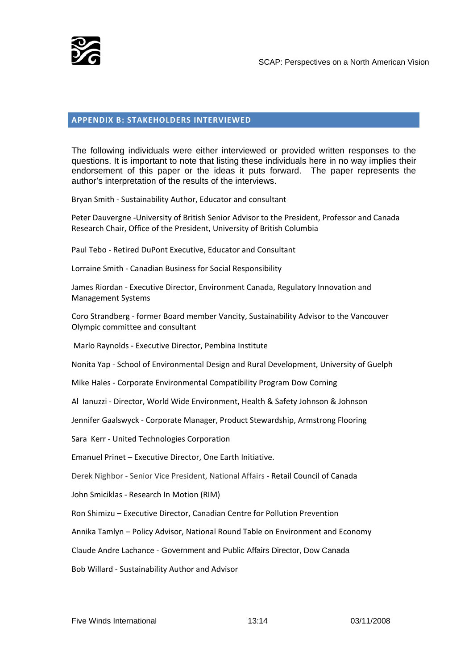<span id="page-12-0"></span>

## **APPENDIX B: STAKEHOLDERS INTERVIEWED**

The following individuals were either interviewed or provided written responses to the questions. It is important to note that listing these individuals here in no way implies their endorsement of this paper or the ideas it puts forward. The paper represents the author's interpretation of the results of the interviews.

Bryan Smith ‐ Sustainability Author, Educator and consultant

Peter Dauvergne ‐University of British Senior Advisor to the President, Professor and Canada Research Chair, Office of the President, University of British Columbia

Paul Tebo ‐ Retired DuPont Executive, Educator and Consultant

Lorraine Smith ‐ Canadian Business for Social Responsibility

James Riordan ‐ Executive Director, Environment Canada, Regulatory Innovation and Management Systems

Coro Strandberg ‐ former Board member Vancity, Sustainability Advisor to the Vancouver Olympic committee and consultant

Marlo Raynolds ‐ Executive Director, Pembina Institute

Nonita Yap ‐ School of Environmental Design and Rural Development, University of Guelph

Mike Hales ‐ Corporate Environmental Compatibility Program Dow Corning

Al Ianuzzi ‐ Director, World Wide Environment, Health & Safety Johnson & Johnson

Jennifer Gaalswyck ‐ Corporate Manager, Product Stewardship, Armstrong Flooring

Sara Kerr ‐ United Technologies Corporation

Emanuel Prinet – Executive Director, One Earth Initiative.

Derek Nighbor ‐ Senior Vice President, National Affairs ‐ Retail Council of Canada

John Smiciklas ‐ Research In Motion (RIM)

Ron Shimizu – Executive Director, Canadian Centre for Pollution Prevention

Annika Tamlyn – Policy Advisor, National Round Table on Environment and Economy

Claude Andre Lachance ‐ Government and Public Affairs Director, Dow Canada

Bob Willard ‐ Sustainability Author and Advisor